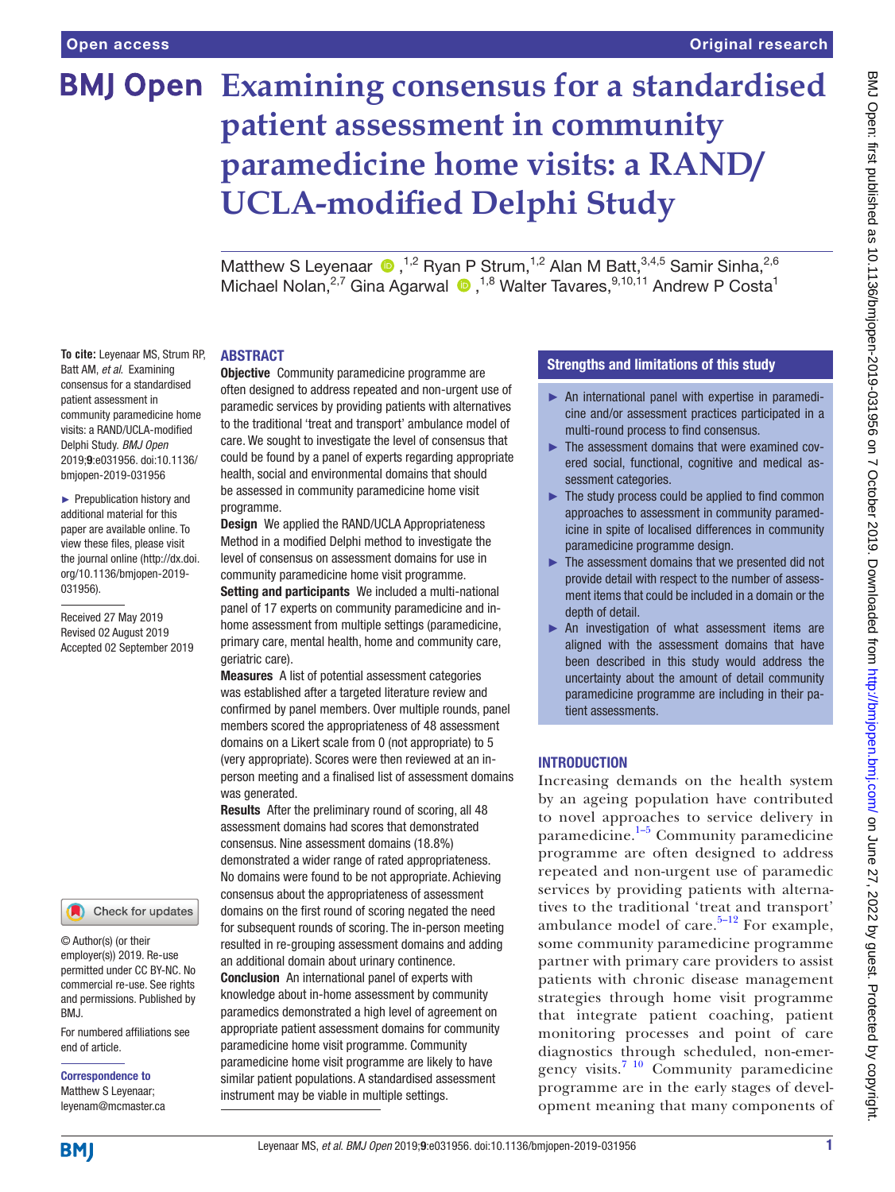**To cite:** Leyenaar MS, Strum RP, Batt AM, *et al*. Examining consensus for a standardised patient assessment in community paramedicine home visits: a RAND/UCLA-modified Delphi Study. *BMJ Open* 2019;9:e031956. doi:10.1136/ bmjopen-2019-031956 ► Prepublication history and additional material for this paper are available online. To view these files, please visit the journal online (http://dx.doi. org/10.1136/bmjopen-2019-

031956).

Received 27 May 2019 Revised 02 August 2019 Accepted 02 September 2019

# **Examining consensus for a standardised patient assessment in community paramedicine home visits: a RAND/ UCLA-modified Delphi Study**

Matthew S Leyenaar  $\bullet$ ,<sup>1,2</sup> Ryan P Strum,<sup>1,2</sup> Alan M Batt,<sup>3,4,5</sup> Samir Sinha,<sup>2,6</sup> Michael Nolan,<sup>2,7</sup> Gina Agarwal  $\bigcirc$ ,<sup>1,8</sup> Walter Tavares,<sup>9,10,11</sup> Andrew P Costa<sup>1</sup>

#### ABSTRACT

**Objective** Community paramedicine programme are often designed to address repeated and non-urgent use of paramedic services by providing patients with alternatives to the traditional 'treat and transport' ambulance model of care. We sought to investigate the level of consensus that could be found by a panel of experts regarding appropriate health, social and environmental domains that should be assessed in community paramedicine home visit programme.

Design We applied the RAND/UCLA Appropriateness Method in a modified Delphi method to investigate the level of consensus on assessment domains for use in community paramedicine home visit programme.

Setting and participants We included a multi-national panel of 17 experts on community paramedicine and inhome assessment from multiple settings (paramedicine, primary care, mental health, home and community care, geriatric care).

Measures A list of potential assessment categories was established after a targeted literature review and confirmed by panel members. Over multiple rounds, panel members scored the appropriateness of 48 assessment domains on a Likert scale from 0 (not appropriate) to 5 (very appropriate). Scores were then reviewed at an inperson meeting and a finalised list of assessment domains was generated.

Results After the preliminary round of scoring, all 48 assessment domains had scores that demonstrated consensus. Nine assessment domains (18.8%) demonstrated a wider range of rated appropriateness. No domains were found to be not appropriate. Achieving consensus about the appropriateness of assessment domains on the first round of scoring negated the need for subsequent rounds of scoring. The in-person meeting resulted in re-grouping assessment domains and adding an additional domain about urinary continence. Conclusion An international panel of experts with knowledge about in-home assessment by community paramedics demonstrated a high level of agreement on appropriate patient assessment domains for community paramedicine home visit programme. Community paramedicine home visit programme are likely to have similar patient populations. A standardised assessment instrument may be viable in multiple settings.

## Strengths and limitations of this study

- $\triangleright$  An international panel with expertise in paramedicine and/or assessment practices participated in a multi-round process to find consensus.
- ► The assessment domains that were examined covered social, functional, cognitive and medical assessment categories.
- $\blacktriangleright$  The study process could be applied to find common approaches to assessment in community paramedicine in spite of localised differences in community paramedicine programme design.
- ► The assessment domains that we presented did not provide detail with respect to the number of assessment items that could be included in a domain or the depth of detail.
- ► An investigation of what assessment items are aligned with the assessment domains that have been described in this study would address the uncertainty about the amount of detail community paramedicine programme are including in their patient assessments.

## **INTRODUCTION**

Increasing demands on the health system by an ageing population have contributed to novel approaches to service delivery in paramedicine. $1-5$  Community paramedicine programme are often designed to address repeated and non-urgent use of paramedic services by providing patients with alternatives to the traditional 'treat and transport' ambulance model of care. $5-12$  For example, some community paramedicine programme partner with primary care providers to assist patients with chronic disease management strategies through home visit programme that integrate patient coaching, patient monitoring processes and point of care diagnostics through scheduled, non-emergency visits.<sup>7</sup> <sup>10</sup> Community paramedicine programme are in the early stages of development meaning that many components of

**BMI** 

end of article.

BMJ.

Correspondence to Matthew S Leyenaar; leyenam@mcmaster.ca

© Author(s) (or their employer(s)) 2019. Re-use permitted under CC BY-NC. No commercial re-use. See rights and permissions. Published by

For numbered affiliations see

Check for updates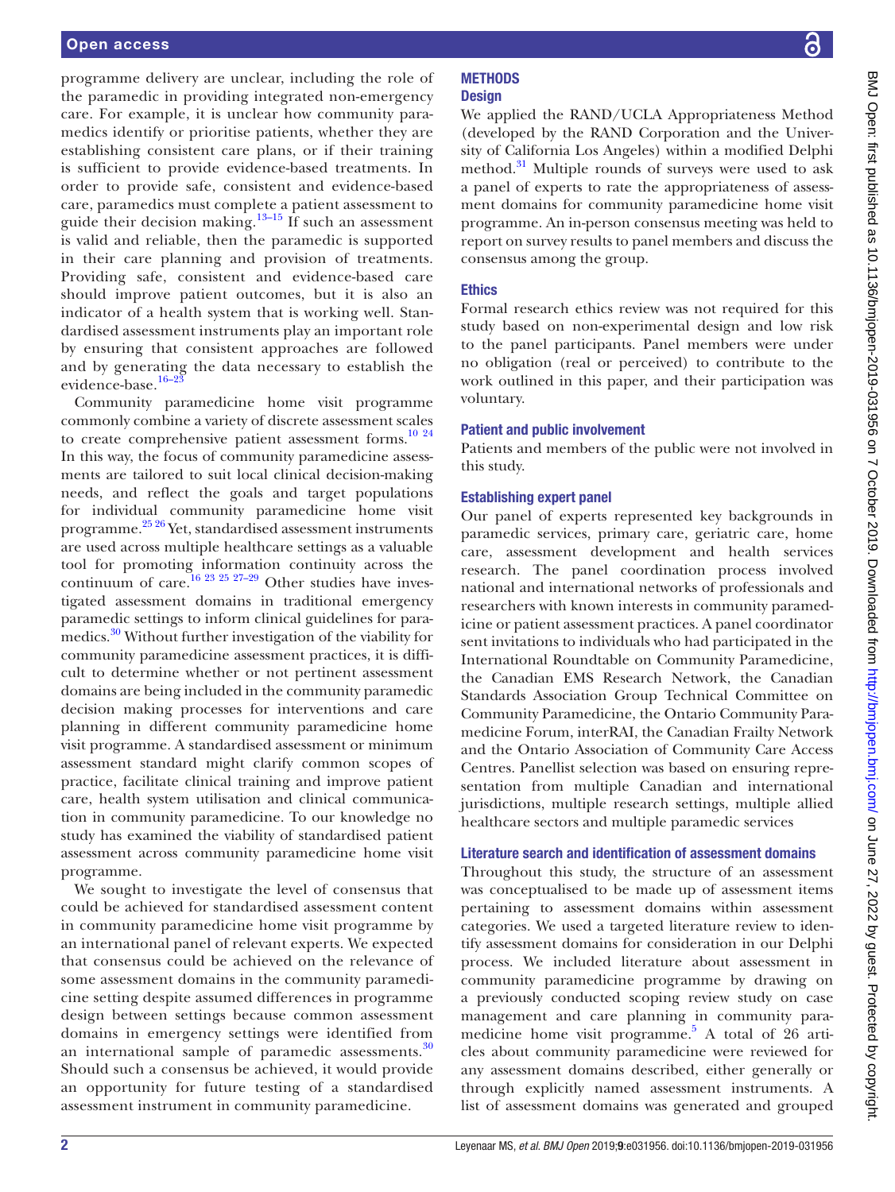programme delivery are unclear, including the role of the paramedic in providing integrated non-emergency care. For example, it is unclear how community paramedics identify or prioritise patients, whether they are establishing consistent care plans, or if their training is sufficient to provide evidence-based treatments. In order to provide safe, consistent and evidence-based care, paramedics must complete a patient assessment to guide their decision making.<sup>[13–15](#page-6-3)</sup> If such an assessment is valid and reliable, then the paramedic is supported in their care planning and provision of treatments. Providing safe, consistent and evidence-based care should improve patient outcomes, but it is also an indicator of a health system that is working well. Standardised assessment instruments play an important role by ensuring that consistent approaches are followed and by generating the data necessary to establish the evidence-base.<sup>16-2</sup>

Community paramedicine home visit programme commonly combine a variety of discrete assessment scales to create comprehensive patient assessment forms.<sup>10 24</sup> In this way, the focus of community paramedicine assessments are tailored to suit local clinical decision-making needs, and reflect the goals and target populations for individual community paramedicine home visit programme.[25 26](#page-6-6) Yet, standardised assessment instruments are used across multiple healthcare settings as a valuable tool for promoting information continuity across the continuum of care.<sup>16 23 25 27-29</sup> Other studies have investigated assessment domains in traditional emergency paramedic settings to inform clinical guidelines for paramedics.[30](#page-7-0) Without further investigation of the viability for community paramedicine assessment practices, it is difficult to determine whether or not pertinent assessment domains are being included in the community paramedic decision making processes for interventions and care planning in different community paramedicine home visit programme. A standardised assessment or minimum assessment standard might clarify common scopes of practice, facilitate clinical training and improve patient care, health system utilisation and clinical communication in community paramedicine. To our knowledge no study has examined the viability of standardised patient assessment across community paramedicine home visit programme.

We sought to investigate the level of consensus that could be achieved for standardised assessment content in community paramedicine home visit programme by an international panel of relevant experts. We expected that consensus could be achieved on the relevance of some assessment domains in the community paramedicine setting despite assumed differences in programme design between settings because common assessment domains in emergency settings were identified from an international sample of paramedic assessments.<sup>[30](#page-7-0)</sup> Should such a consensus be achieved, it would provide an opportunity for future testing of a standardised assessment instrument in community paramedicine.

## **METHODS Design**

We applied the RAND/UCLA Appropriateness Method (developed by the RAND Corporation and the University of California Los Angeles) within a modified Delphi method.<sup>31</sup> Multiple rounds of surveys were used to ask a panel of experts to rate the appropriateness of assessment domains for community paramedicine home visit programme. An in-person consensus meeting was held to report on survey results to panel members and discuss the consensus among the group.

## **Ethics**

Formal research ethics review was not required for this study based on non-experimental design and low risk to the panel participants. Panel members were under no obligation (real or perceived) to contribute to the work outlined in this paper, and their participation was voluntary.

## Patient and public involvement

Patients and members of the public were not involved in this study.

# Establishing expert panel

Our panel of experts represented key backgrounds in paramedic services, primary care, geriatric care, home care, assessment development and health services research. The panel coordination process involved national and international networks of professionals and researchers with known interests in community paramedicine or patient assessment practices. A panel coordinator sent invitations to individuals who had participated in the International Roundtable on Community Paramedicine, the Canadian EMS Research Network, the Canadian Standards Association Group Technical Committee on Community Paramedicine, the Ontario Community Paramedicine Forum, interRAI, the Canadian Frailty Network and the Ontario Association of Community Care Access Centres. Panellist selection was based on ensuring representation from multiple Canadian and international jurisdictions, multiple research settings, multiple allied healthcare sectors and multiple paramedic services

# Literature search and identification of assessment domains

Throughout this study, the structure of an assessment was conceptualised to be made up of assessment items pertaining to assessment domains within assessment categories. We used a targeted literature review to identify assessment domains for consideration in our Delphi process. We included literature about assessment in community paramedicine programme by drawing on a previously conducted scoping review study on case management and care planning in community paramedicine home visit programme.<sup>5</sup> A total of 26 articles about community paramedicine were reviewed for any assessment domains described, either generally or through explicitly named assessment instruments. A list of assessment domains was generated and grouped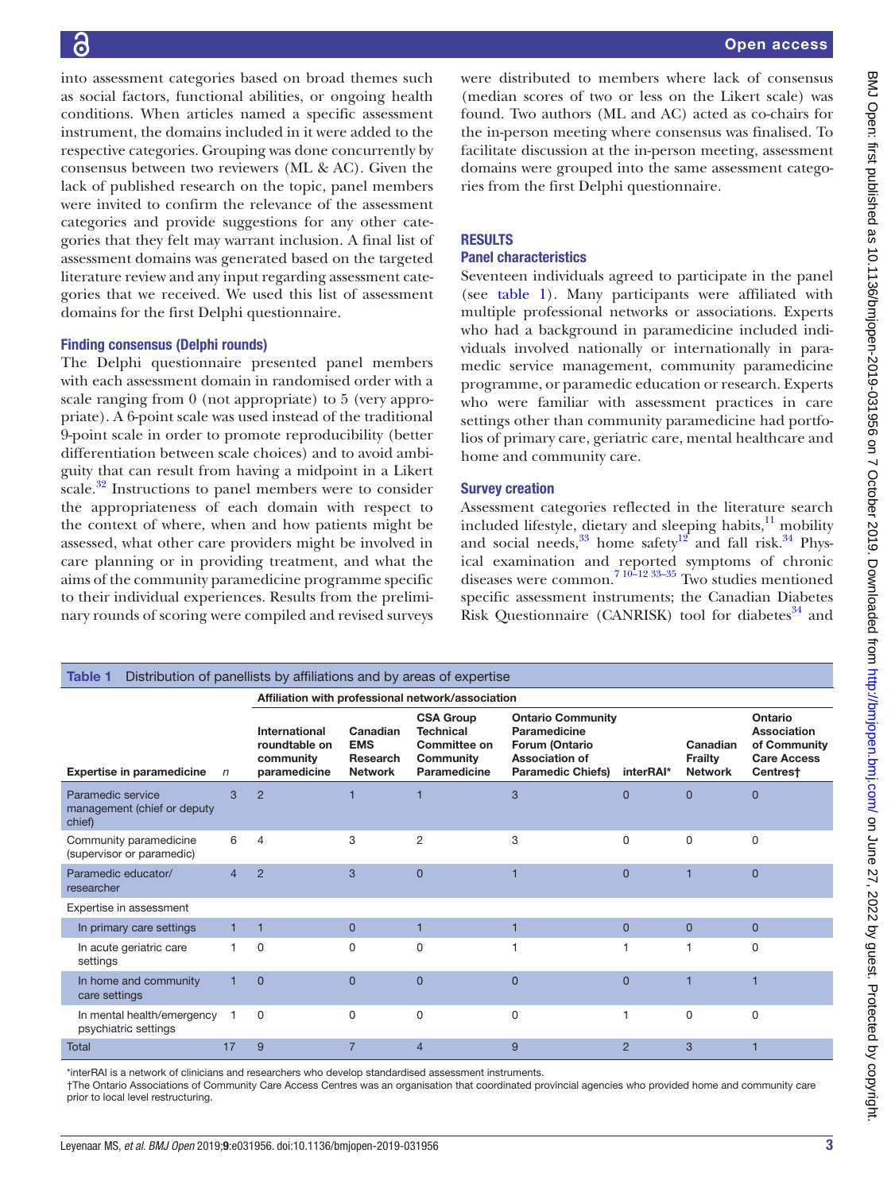into assessment categories based on broad themes such as social factors, functional abilities, or ongoing health conditions. When articles named a specific assessment instrument, the domains included in it were added to the respective categories. Grouping was done concurrently by consensus between two reviewers (ML & AC). Given the lack of published research on the topic, panel members were invited to confirm the relevance of the assessment categories and provide suggestions for any other categories that they felt may warrant inclusion. A final list of assessment domains was generated based on the targeted literature review and any input regarding assessment categories that we received. We used this list of assessment domains for the first Delphi questionnaire.

## Finding consensus (Delphi rounds)

The Delphi questionnaire presented panel members with each assessment domain in randomised order with a scale ranging from 0 (not appropriate) to 5 (very appropriate). A 6-point scale was used instead of the traditional 9-point scale in order to promote reproducibility (better differentiation between scale choices) and to avoid ambiguity that can result from having a midpoint in a Likert scale.<sup>32</sup> Instructions to panel members were to consider the appropriateness of each domain with respect to the context of where, when and how patients might be assessed, what other care providers might be involved in care planning or in providing treatment, and what the aims of the community paramedicine programme specific to their individual experiences. Results from the preliminary rounds of scoring were compiled and revised surveys

were distributed to members where lack of consensus (median scores of two or less on the Likert scale) was found. Two authors (ML and AC) acted as co-chairs for the in-person meeting where consensus was finalised. To facilitate discussion at the in-person meeting, assessment domains were grouped into the same assessment categories from the first Delphi questionnaire.

## **RESULTS**

## Panel characteristics

Seventeen individuals agreed to participate in the panel (see [table](#page-2-0) 1). Many participants were affiliated with multiple professional networks or associations. Experts who had a background in paramedicine included individuals involved nationally or internationally in paramedic service management, community paramedicine programme, or paramedic education or research. Experts who were familiar with assessment practices in care settings other than community paramedicine had portfolios of primary care, geriatric care, mental healthcare and home and community care.

## Survey creation

Assessment categories reflected in the literature search included lifestyle, dietary and sleeping habits, $\frac{11}{11}$  mobility and social needs,  $33 \text{ home safety}^{12}$  and fall risk.  $34 \text{ Phys}$ ical examination and reported symptoms of chronic diseases were common.<sup>[7 10–12 33–35](#page-6-2)</sup> Two studies mentioned specific assessment instruments; the Canadian Diabetes Risk Questionnaire (CANRISK) tool for diabetes<sup>34</sup> and

<span id="page-2-0"></span>

| Distribution of panellists by affiliations and by areas of expertise<br>Table 1 |                |                                                             |                                                      |                                                                                          |                                                                                                          |                |                                              |                                                                          |  |
|---------------------------------------------------------------------------------|----------------|-------------------------------------------------------------|------------------------------------------------------|------------------------------------------------------------------------------------------|----------------------------------------------------------------------------------------------------------|----------------|----------------------------------------------|--------------------------------------------------------------------------|--|
|                                                                                 |                | Affiliation with professional network/association           |                                                      |                                                                                          |                                                                                                          |                |                                              |                                                                          |  |
| <b>Expertise in paramedicine</b>                                                | $\mathsf{n}$   | International<br>roundtable on<br>community<br>paramedicine | Canadian<br><b>EMS</b><br>Research<br><b>Network</b> | <b>CSA Group</b><br><b>Technical</b><br>Committee on<br>Community<br><b>Paramedicine</b> | <b>Ontario Community</b><br>Paramedicine<br>Forum (Ontario<br>Association of<br><b>Paramedic Chiefs)</b> | interRAI*      | Canadian<br><b>Frailty</b><br><b>Network</b> | Ontario<br>Association<br>of Community<br><b>Care Access</b><br>Centrest |  |
| Paramedic service<br>management (chief or deputy<br>chief)                      | 3              | $\overline{2}$                                              |                                                      |                                                                                          | 3                                                                                                        | $\overline{0}$ | $\Omega$                                     | $\Omega$                                                                 |  |
| Community paramedicine<br>(supervisor or paramedic)                             | 6              | 4                                                           | 3                                                    | $\overline{2}$                                                                           | 3                                                                                                        | $\Omega$       | $\Omega$                                     | 0                                                                        |  |
| Paramedic educator/<br>researcher                                               | $\overline{4}$ | $\overline{2}$                                              | 3                                                    | $\overline{0}$                                                                           |                                                                                                          | $\Omega$       |                                              | $\overline{0}$                                                           |  |
| Expertise in assessment                                                         |                |                                                             |                                                      |                                                                                          |                                                                                                          |                |                                              |                                                                          |  |
| In primary care settings                                                        |                |                                                             | $\overline{0}$                                       | $\overline{\mathbf{1}}$                                                                  |                                                                                                          | $\Omega$       | $\Omega$                                     | $\Omega$                                                                 |  |
| In acute geriatric care<br>settings                                             |                | $\Omega$                                                    | 0                                                    | 0                                                                                        |                                                                                                          | 1              |                                              | 0                                                                        |  |
| In home and community<br>care settings                                          |                | $\Omega$                                                    | $\overline{0}$                                       | $\overline{0}$                                                                           | $\Omega$                                                                                                 | $\Omega$       |                                              |                                                                          |  |
| In mental health/emergency<br>psychiatric settings                              | $\mathbf{1}$   | 0                                                           | 0                                                    | 0                                                                                        | $\Omega$                                                                                                 | 1              | $\Omega$                                     | 0                                                                        |  |
| Total                                                                           | 17             | 9                                                           | $\overline{7}$                                       | $\overline{4}$                                                                           | 9                                                                                                        | $\overline{2}$ | 3                                            |                                                                          |  |

\*interRAI is a network of clinicians and researchers who develop standardised assessment instruments.

†The Ontario Associations of Community Care Access Centres was an organisation that coordinated provincial agencies who provided home and community care prior to local level restructuring.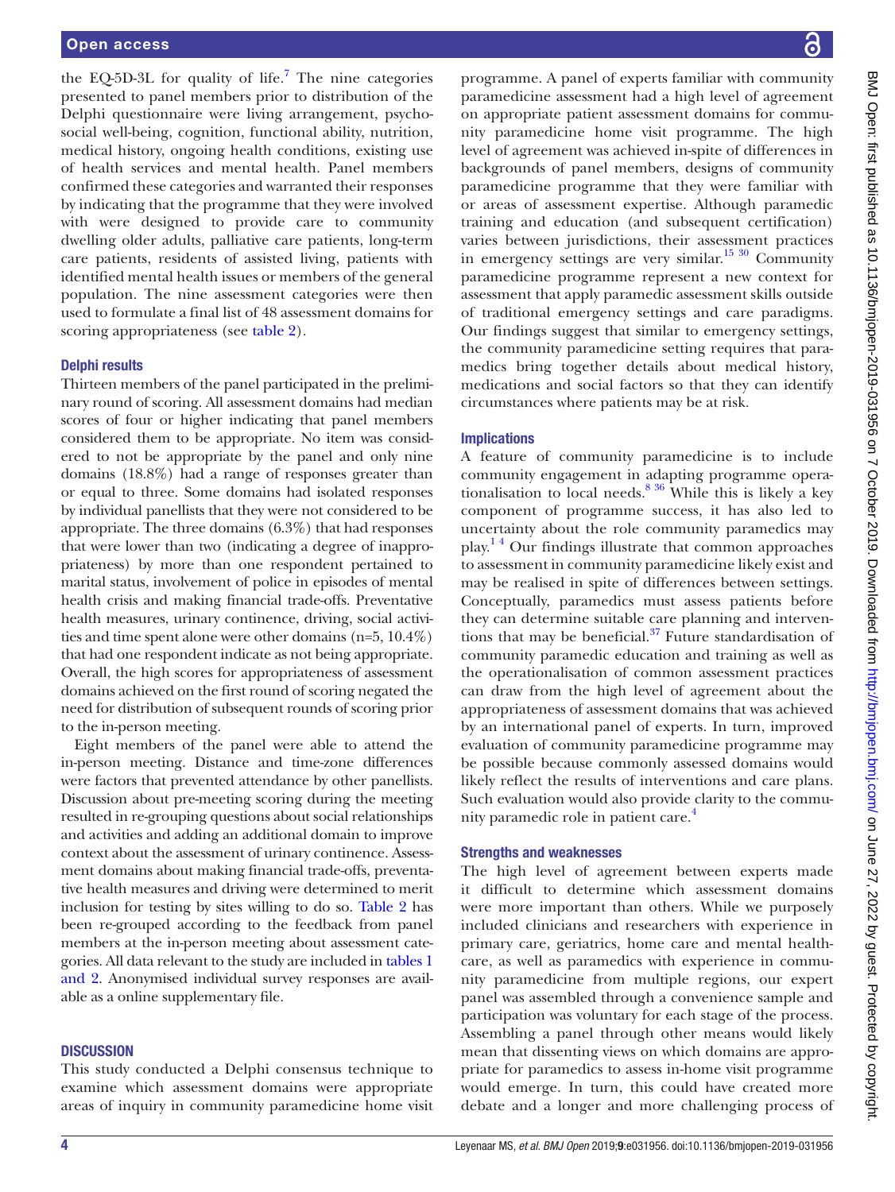the EQ-5D-3L for quality of life.<sup>[7](#page-6-2)</sup> The nine categories presented to panel members prior to distribution of the Delphi questionnaire were living arrangement, psychosocial well-being, cognition, functional ability, nutrition, medical history, ongoing health conditions, existing use of health services and mental health. Panel members confirmed these categories and warranted their responses by indicating that the programme that they were involved with were designed to provide care to community dwelling older adults, palliative care patients, long-term care patients, residents of assisted living, patients with identified mental health issues or members of the general population. The nine assessment categories were then used to formulate a final list of 48 assessment domains for scoring appropriateness (see [table](#page-4-0) 2).

#### Delphi results

Thirteen members of the panel participated in the preliminary round of scoring. All assessment domains had median scores of four or higher indicating that panel members considered them to be appropriate. No item was considered to not be appropriate by the panel and only nine domains (18.8%) had a range of responses greater than or equal to three. Some domains had isolated responses by individual panellists that they were not considered to be appropriate. The three domains (6.3%) that had responses that were lower than two (indicating a degree of inappropriateness) by more than one respondent pertained to marital status, involvement of police in episodes of mental health crisis and making financial trade-offs. Preventative health measures, urinary continence, driving, social activities and time spent alone were other domains (n=5, 10.4%) that had one respondent indicate as not being appropriate. Overall, the high scores for appropriateness of assessment domains achieved on the first round of scoring negated the need for distribution of subsequent rounds of scoring prior to the in-person meeting.

Eight members of the panel were able to attend the in-person meeting. Distance and time-zone differences were factors that prevented attendance by other panellists. Discussion about pre-meeting scoring during the meeting resulted in re-grouping questions about social relationships and activities and adding an additional domain to improve context about the assessment of urinary continence. Assessment domains about making financial trade-offs, preventative health measures and driving were determined to merit inclusion for testing by sites willing to do so. [Table](#page-4-0) 2 has been re-grouped according to the feedback from panel members at the in-person meeting about assessment categories. All data relevant to the study are included in [tables](#page-2-0) 1 [and 2.](#page-2-0) Anonymised individual survey responses are available as a [online supplementary file](https://dx.doi.org/10.1136/bmjopen-2019-031956).

#### **DISCUSSION**

This study conducted a Delphi consensus technique to examine which assessment domains were appropriate areas of inquiry in community paramedicine home visit

programme. A panel of experts familiar with community paramedicine assessment had a high level of agreement on appropriate patient assessment domains for community paramedicine home visit programme. The high level of agreement was achieved in-spite of differences in backgrounds of panel members, designs of community paramedicine programme that they were familiar with or areas of assessment expertise. Although paramedic training and education (and subsequent certification) varies between jurisdictions, their assessment practices in emergency settings are very similar.<sup>15 30</sup> Community paramedicine programme represent a new context for assessment that apply paramedic assessment skills outside of traditional emergency settings and care paradigms. Our findings suggest that similar to emergency settings, the community paramedicine setting requires that paramedics bring together details about medical history, medications and social factors so that they can identify circumstances where patients may be at risk.

#### Implications

A feature of community paramedicine is to include community engagement in adapting programme operationalisation to local needs. $836$  While this is likely a key component of programme success, it has also led to uncertainty about the role community paramedics may play.[1 4](#page-6-0) Our findings illustrate that common approaches to assessment in community paramedicine likely exist and may be realised in spite of differences between settings. Conceptually, paramedics must assess patients before they can determine suitable care planning and interventions that may be beneficial. $37$  Future standardisation of community paramedic education and training as well as the operationalisation of common assessment practices can draw from the high level of agreement about the appropriateness of assessment domains that was achieved by an international panel of experts. In turn, improved evaluation of community paramedicine programme may be possible because commonly assessed domains would likely reflect the results of interventions and care plans. Such evaluation would also provide clarity to the community paramedic role in patient care.<sup>4</sup>

#### Strengths and weaknesses

The high level of agreement between experts made it difficult to determine which assessment domains were more important than others. While we purposely included clinicians and researchers with experience in primary care, geriatrics, home care and mental healthcare, as well as paramedics with experience in community paramedicine from multiple regions, our expert panel was assembled through a convenience sample and participation was voluntary for each stage of the process. Assembling a panel through other means would likely mean that dissenting views on which domains are appropriate for paramedics to assess in-home visit programme would emerge. In turn, this could have created more debate and a longer and more challenging process of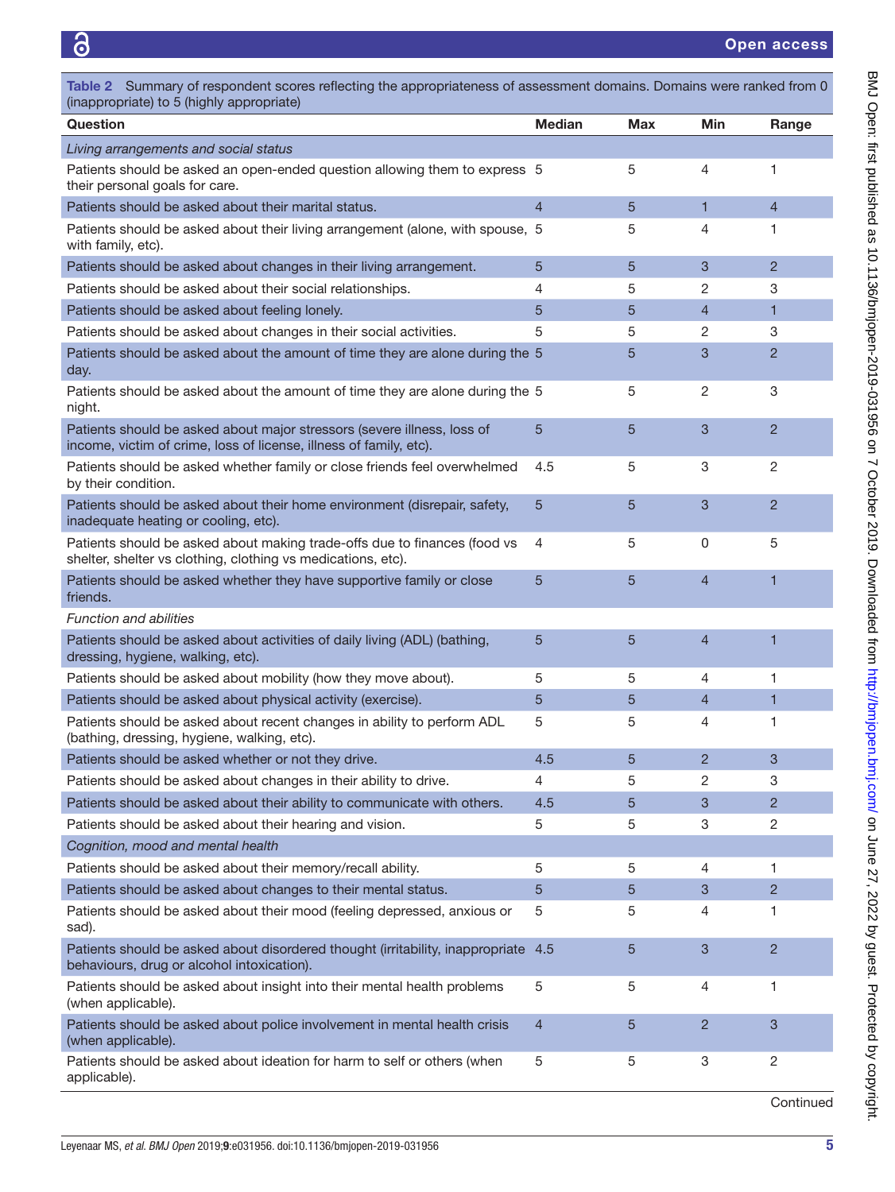<span id="page-4-0"></span>

| Table 2 Summary of respondent scores reflecting the appropriateness of assessment domains. Domains were ranked from 0<br>(inappropriate) to 5 (highly appropriate) |                |     |                |                         |  |  |  |
|--------------------------------------------------------------------------------------------------------------------------------------------------------------------|----------------|-----|----------------|-------------------------|--|--|--|
| Question                                                                                                                                                           | <b>Median</b>  | Max | Min            | Range                   |  |  |  |
| Living arrangements and social status                                                                                                                              |                |     |                |                         |  |  |  |
| Patients should be asked an open-ended question allowing them to express 5<br>their personal goals for care.                                                       |                | 5   | 4              | 1                       |  |  |  |
| Patients should be asked about their marital status.                                                                                                               | $\overline{4}$ | 5   | $\mathbf{1}$   | $\overline{4}$          |  |  |  |
| Patients should be asked about their living arrangement (alone, with spouse, 5<br>with family, etc).                                                               |                | 5   | 4              | 1                       |  |  |  |
| Patients should be asked about changes in their living arrangement.                                                                                                | 5              | 5   | 3              | $\overline{2}$          |  |  |  |
| Patients should be asked about their social relationships.                                                                                                         | 4              | 5   | 2              | 3                       |  |  |  |
| Patients should be asked about feeling lonely.                                                                                                                     | 5              | 5   | 4              | 1                       |  |  |  |
| Patients should be asked about changes in their social activities.                                                                                                 | 5              | 5   | 2              | 3                       |  |  |  |
| Patients should be asked about the amount of time they are alone during the 5<br>day.                                                                              |                | 5   | 3              | $\overline{2}$          |  |  |  |
| Patients should be asked about the amount of time they are alone during the 5<br>night.                                                                            |                | 5   | 2              | 3                       |  |  |  |
| Patients should be asked about major stressors (severe illness, loss of<br>income, victim of crime, loss of license, illness of family, etc).                      | 5              | 5   | 3              | $\overline{2}$          |  |  |  |
| Patients should be asked whether family or close friends feel overwhelmed<br>by their condition.                                                                   | 4.5            | 5   | 3              | $\overline{c}$          |  |  |  |
| Patients should be asked about their home environment (disrepair, safety,<br>inadequate heating or cooling, etc).                                                  | 5              | 5   | 3              | $\overline{2}$          |  |  |  |
| Patients should be asked about making trade-offs due to finances (food vs<br>shelter, shelter vs clothing, clothing vs medications, etc).                          | 4              | 5   | 0              | 5                       |  |  |  |
| Patients should be asked whether they have supportive family or close<br>friends.                                                                                  | 5              | 5   | 4              | 1                       |  |  |  |
| <b>Function and abilities</b>                                                                                                                                      |                |     |                |                         |  |  |  |
| Patients should be asked about activities of daily living (ADL) (bathing,<br>dressing, hygiene, walking, etc).                                                     | 5              | 5   | $\overline{4}$ | $\overline{\mathbf{1}}$ |  |  |  |
| Patients should be asked about mobility (how they move about).                                                                                                     | 5              | 5   | 4              | 1                       |  |  |  |
| Patients should be asked about physical activity (exercise).                                                                                                       | 5              | 5   | $\overline{4}$ | $\mathbf{1}$            |  |  |  |
| Patients should be asked about recent changes in ability to perform ADL<br>(bathing, dressing, hygiene, walking, etc).                                             | 5              | 5   | 4              | 1                       |  |  |  |
| Patients should be asked whether or not they drive.                                                                                                                | 4.5            | 5   | $\overline{2}$ | 3                       |  |  |  |
| Patients should be asked about changes in their ability to drive.                                                                                                  | 4              | 5   | 2              | 3                       |  |  |  |
| Patients should be asked about their ability to communicate with others.                                                                                           | 4.5            | 5   | 3              | $\overline{2}$          |  |  |  |
| Patients should be asked about their hearing and vision.                                                                                                           | 5              | 5   | 3              | $\overline{2}$          |  |  |  |
| Cognition, mood and mental health                                                                                                                                  |                |     |                |                         |  |  |  |
| Patients should be asked about their memory/recall ability.                                                                                                        | 5              | 5   | 4              | $\mathbf{1}$            |  |  |  |
| Patients should be asked about changes to their mental status.                                                                                                     | 5              | 5   | 3              | $\overline{2}$          |  |  |  |
| Patients should be asked about their mood (feeling depressed, anxious or<br>sad).                                                                                  | 5              | 5   | 4              | 1                       |  |  |  |
| Patients should be asked about disordered thought (irritability, inappropriate 4.5<br>behaviours, drug or alcohol intoxication).                                   |                | 5   | 3              | $\overline{2}$          |  |  |  |
| Patients should be asked about insight into their mental health problems<br>(when applicable).                                                                     | 5              | 5   | 4              | 1                       |  |  |  |
| Patients should be asked about police involvement in mental health crisis<br>(when applicable).                                                                    | $\overline{4}$ | 5   | 2              | $\mathbf{3}$            |  |  |  |
| Patients should be asked about ideation for harm to self or others (when<br>applicable).                                                                           | 5              | 5   | 3              | $\overline{2}$          |  |  |  |
|                                                                                                                                                                    |                |     |                | Continued               |  |  |  |

BMJ Open: first published as 10.1136/bmjopen-2019-031956 on 7 October 2019. Downloaded from http://bmjopen.bmj.com/ on June 27, 2022 by guest. Protected by copyright. BMJ Open: first published as 10.1136/bmjopen-2019-031956 on 7 October 2019. Downloaded from <http://bmjopen.bmj.com/> au dune 27, 2022 by guest. Protected by copyright.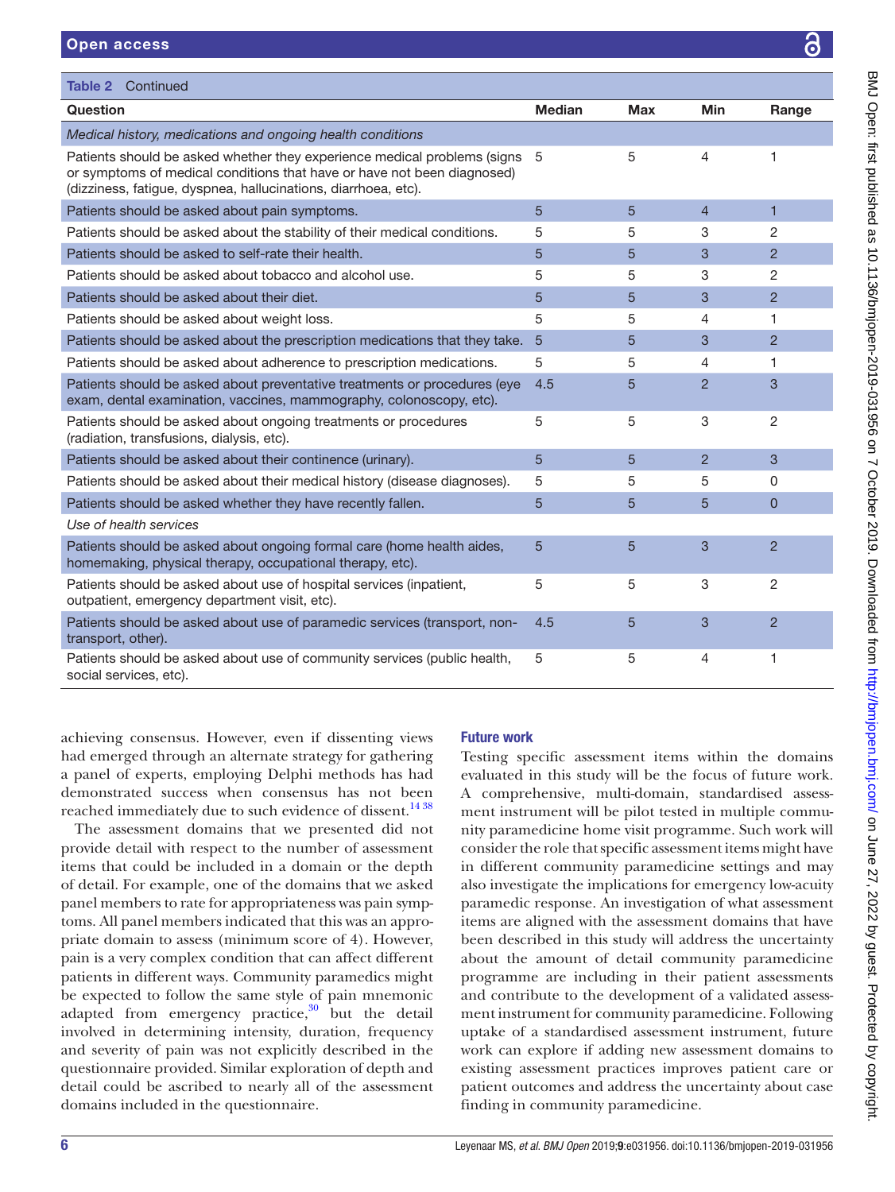| Continued<br>Table 2                                                                                                                                                                                                  |               |     |                |                |
|-----------------------------------------------------------------------------------------------------------------------------------------------------------------------------------------------------------------------|---------------|-----|----------------|----------------|
| Question                                                                                                                                                                                                              | <b>Median</b> | Max | <b>Min</b>     | Range          |
| Medical history, medications and ongoing health conditions                                                                                                                                                            |               |     |                |                |
| Patients should be asked whether they experience medical problems (signs<br>or symptoms of medical conditions that have or have not been diagnosed)<br>(dizziness, fatigue, dyspnea, hallucinations, diarrhoea, etc). | 5             | 5   | 4              | 1              |
| Patients should be asked about pain symptoms.                                                                                                                                                                         | 5             | 5   | $\overline{4}$ | 1              |
| Patients should be asked about the stability of their medical conditions.                                                                                                                                             | 5             | 5   | 3              | 2              |
| Patients should be asked to self-rate their health.                                                                                                                                                                   | 5             | 5   | 3              | $\mathcal{P}$  |
| Patients should be asked about tobacco and alcohol use.                                                                                                                                                               | 5             | 5   | 3              | 2              |
| Patients should be asked about their diet.                                                                                                                                                                            | 5             | 5   | 3              | $\mathfrak{p}$ |
| Patients should be asked about weight loss.                                                                                                                                                                           | 5             | 5   | 4              | 1              |
| Patients should be asked about the prescription medications that they take.                                                                                                                                           | 5             | 5   | 3              | $\overline{2}$ |
| Patients should be asked about adherence to prescription medications.                                                                                                                                                 | 5             | 5   | 4              | 1              |
| Patients should be asked about preventative treatments or procedures (eye<br>exam, dental examination, vaccines, mammography, colonoscopy, etc).                                                                      | 4.5           | 5   | $\overline{2}$ | 3              |
| Patients should be asked about ongoing treatments or procedures<br>(radiation, transfusions, dialysis, etc).                                                                                                          | 5             | 5   | 3              | 2              |
| Patients should be asked about their continence (urinary).                                                                                                                                                            | 5             | 5   | $\overline{2}$ | 3              |
| Patients should be asked about their medical history (disease diagnoses).                                                                                                                                             | 5             | 5   | 5              | 0              |
| Patients should be asked whether they have recently fallen.                                                                                                                                                           | 5             | 5   | 5              | $\overline{0}$ |
| Use of health services                                                                                                                                                                                                |               |     |                |                |
| Patients should be asked about ongoing formal care (home health aides,<br>homemaking, physical therapy, occupational therapy, etc).                                                                                   | 5             | 5   | 3              | $\overline{2}$ |
| Patients should be asked about use of hospital services (inpatient,<br>outpatient, emergency department visit, etc).                                                                                                  | 5             | 5   | 3              | $\overline{2}$ |
| Patients should be asked about use of paramedic services (transport, non-<br>transport, other).                                                                                                                       | 4.5           | 5   | 3              | $\mathcal{P}$  |
| Patients should be asked about use of community services (public health,<br>social services, etc).                                                                                                                    | 5             | 5   | 4              | 1              |

achieving consensus. However, even if dissenting views had emerged through an alternate strategy for gathering a panel of experts, employing Delphi methods has had demonstrated success when consensus has not been reached immediately due to such evidence of dissent.<sup>[14 38](#page-6-12)</sup>

The assessment domains that we presented did not provide detail with respect to the number of assessment items that could be included in a domain or the depth of detail. For example, one of the domains that we asked panel members to rate for appropriateness was pain symptoms. All panel members indicated that this was an appropriate domain to assess (minimum score of 4). However, pain is a very complex condition that can affect different patients in different ways. Community paramedics might be expected to follow the same style of pain mnemonic adapted from emergency practice, $30$  but the detail involved in determining intensity, duration, frequency and severity of pain was not explicitly described in the questionnaire provided. Similar exploration of depth and detail could be ascribed to nearly all of the assessment domains included in the questionnaire.

# Future work

Testing specific assessment items within the domains evaluated in this study will be the focus of future work. A comprehensive, multi-domain, standardised assessment instrument will be pilot tested in multiple community paramedicine home visit programme. Such work will consider the role that specific assessment items might have in different community paramedicine settings and may also investigate the implications for emergency low-acuity paramedic response. An investigation of what assessment items are aligned with the assessment domains that have been described in this study will address the uncertainty about the amount of detail community paramedicine programme are including in their patient assessments and contribute to the development of a validated assessment instrument for community paramedicine. Following uptake of a standardised assessment instrument, future work can explore if adding new assessment domains to existing assessment practices improves patient care or patient outcomes and address the uncertainty about case finding in community paramedicine.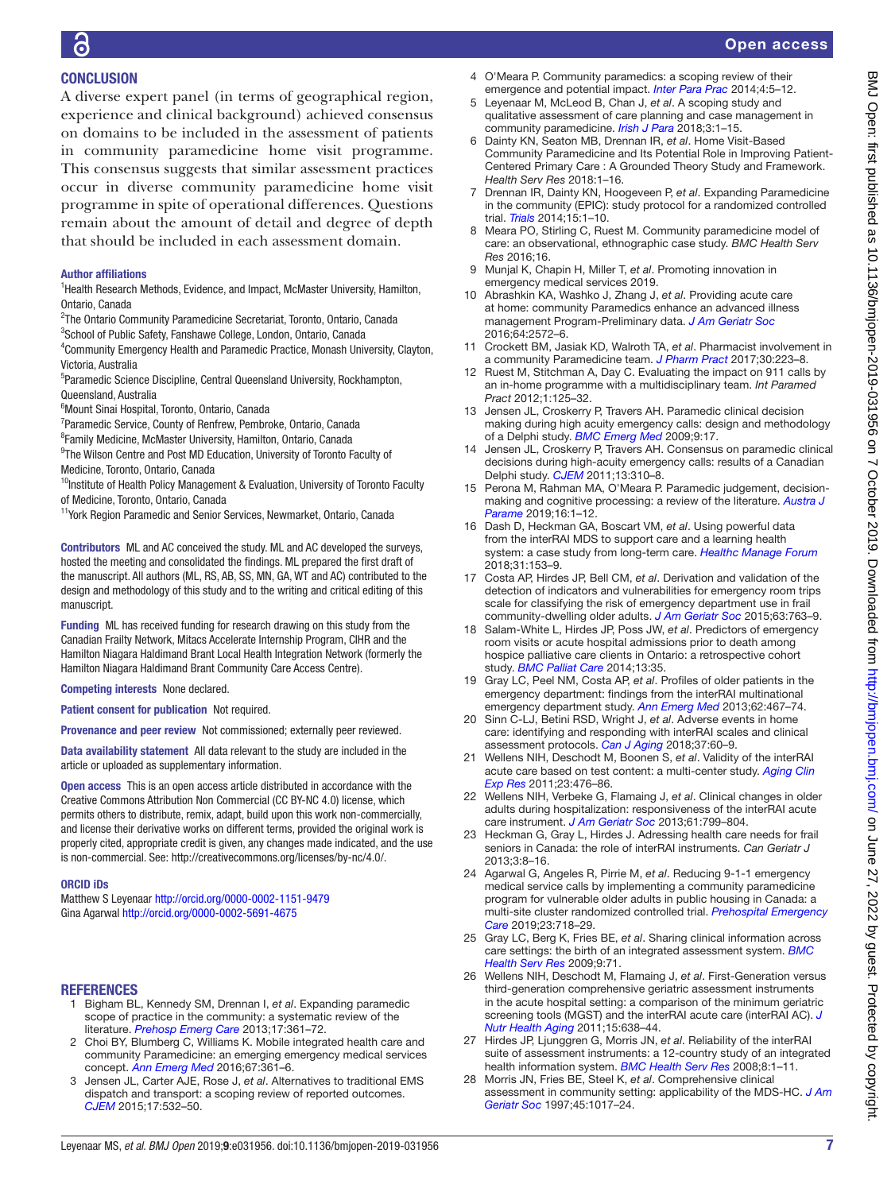# **CONCLUSION**

A diverse expert panel (in terms of geographical region, experience and clinical background) achieved consensus on domains to be included in the assessment of patients in community paramedicine home visit programme. This consensus suggests that similar assessment practices occur in diverse community paramedicine home visit programme in spite of operational differences. Questions remain about the amount of detail and degree of depth that should be included in each assessment domain.

#### Author affiliations

<sup>1</sup> Health Research Methods, Evidence, and Impact, McMaster University, Hamilton, Ontario, Canada

<sup>2</sup>The Ontario Community Paramedicine Secretariat, Toronto, Ontario, Canada

<sup>3</sup>School of Public Safety, Fanshawe College, London, Ontario, Canada

4 Community Emergency Health and Paramedic Practice, Monash University, Clayton, Victoria, Australia

<sup>5</sup>Paramedic Science Discipline, Central Queensland University, Rockhampton, Queensland, Australia

6 Mount Sinai Hospital, Toronto, Ontario, Canada

<sup>7</sup> Paramedic Service, County of Renfrew, Pembroke, Ontario, Canada

8 Family Medicine, McMaster University, Hamilton, Ontario, Canada

<sup>9</sup>The Wilson Centre and Post MD Education, University of Toronto Faculty of Medicine, Toronto, Ontario, Canada

 $10$ Institute of Health Policy Management & Evaluation, University of Toronto Faculty of Medicine, Toronto, Ontario, Canada

<sup>11</sup>York Region Paramedic and Senior Services, Newmarket, Ontario, Canada

Contributors ML and AC conceived the study. ML and AC developed the surveys, hosted the meeting and consolidated the findings. ML prepared the first draft of the manuscript. All authors (ML, RS, AB, SS, MN, GA, WT and AC) contributed to the design and methodology of this study and to the writing and critical editing of this manuscript

Funding ML has received funding for research drawing on this study from the Canadian Frailty Network, Mitacs Accelerate Internship Program, CIHR and the Hamilton Niagara Haldimand Brant Local Health Integration Network (formerly the Hamilton Niagara Haldimand Brant Community Care Access Centre).

Competing interests None declared.

Patient consent for publication Not required.

Provenance and peer review Not commissioned; externally peer reviewed.

Data availability statement All data relevant to the study are included in the article or uploaded as supplementary information.

Open access This is an open access article distributed in accordance with the Creative Commons Attribution Non Commercial (CC BY-NC 4.0) license, which permits others to distribute, remix, adapt, build upon this work non-commercially, and license their derivative works on different terms, provided the original work is properly cited, appropriate credit is given, any changes made indicated, and the use is non-commercial. See: [http://creativecommons.org/licenses/by-nc/4.0/.](http://creativecommons.org/licenses/by-nc/4.0/)

#### ORCID iDs

Matthew S Leyenaar<http://orcid.org/0000-0002-1151-9479> Gina Agarwal <http://orcid.org/0000-0002-5691-4675>

## **REFERENCES**

- <span id="page-6-0"></span>1 Bigham BL, Kennedy SM, Drennan I, *et al*. Expanding paramedic scope of practice in the community: a systematic review of the literature. *[Prehosp Emerg Care](http://dx.doi.org/10.3109/10903127.2013.792890)* 2013;17:361–72.
- 2 Choi BY, Blumberg C, Williams K. Mobile integrated health care and community Paramedicine: an emerging emergency medical services concept. *[Ann Emerg Med](http://dx.doi.org/10.1016/j.annemergmed.2015.06.005)* 2016;67:361–6.
- 3 Jensen JL, Carter AJE, Rose J, *et al*. Alternatives to traditional EMS dispatch and transport: a scoping review of reported outcomes. *[CJEM](http://dx.doi.org/10.1017/cem.2014.59)* 2015;17:532–50.
- <span id="page-6-11"></span>4 O'Meara P. Community paramedics: a scoping review of their emergence and potential impact. *[Inter Para Prac](http://dx.doi.org/10.12968/ippr.2014.4.1.5)* 2014;4:5–12.
- <span id="page-6-1"></span>5 Leyenaar M, McLeod B, Chan J, *et al*. A scoping study and qualitative assessment of care planning and case management in community paramedicine. *[Irish J Para](http://dx.doi.org/10.32378/ijp.v3i1.76)* 2018;3:1–15.
- 6 Dainty KN, Seaton MB, Drennan IR, *et al*. Home Visit-Based Community Paramedicine and Its Potential Role in Improving Patient-Centered Primary Care : A Grounded Theory Study and Framework. *Health Serv Res* 2018:1–16.
- <span id="page-6-2"></span>7 Drennan IR, Dainty KN, Hoogeveen P, *et al*. Expanding Paramedicine in the community (EPIC): study protocol for a randomized controlled trial. *[Trials](http://dx.doi.org/10.1186/1745-6215-15-473)* 2014;15:1–10.
- <span id="page-6-10"></span>Meara PO, Stirling C, Ruest M. Community paramedicine model of care: an observational, ethnographic case study. *BMC Health Serv Res* 2016;16.
- 9 Munjal K, Chapin H, Miller T, *et al*. Promoting innovation in emergency medical services 2019.
- <span id="page-6-5"></span>10 Abrashkin KA, Washko J, Zhang J, *et al*. Providing acute care at home: community Paramedics enhance an advanced illness management Program-Preliminary data. *[J Am Geriatr Soc](http://dx.doi.org/10.1111/jgs.14484)* 2016;64:2572–6.
- <span id="page-6-7"></span>11 Crockett BM, Jasiak KD, Walroth TA, *et al*. Pharmacist involvement in a community Paramedicine team. *[J Pharm Pract](http://dx.doi.org/10.1177/0897190016631893)* 2017;30:223–8.
- <span id="page-6-8"></span>12 Ruest M, Stitchman A, Day C. Evaluating the impact on 911 calls by an in-home programme with a multidisciplinary team. *Int Paramed Pract* 2012;1:125–32.
- <span id="page-6-3"></span>13 Jensen JL, Croskerry P, Travers AH. Paramedic clinical decision making during high acuity emergency calls: design and methodology of a Delphi study. *[BMC Emerg Med](http://dx.doi.org/10.1186/1471-227X-9-17)* 2009;9:17.
- <span id="page-6-12"></span>14 Jensen JL, Croskerry P, Travers AH. Consensus on paramedic clinical decisions during high-acuity emergency calls: results of a Canadian Delphi study. *[CJEM](http://dx.doi.org/10.2310/8000.2011.110405)* 2011;13:310–8.
- <span id="page-6-9"></span>15 Perona M, Rahman MA, O'Meara P. Paramedic judgement, decisionmaking and cognitive processing: a review of the literature. *[Austra J](http://dx.doi.org/10.33151/ajp.16.586)  [Parame](http://dx.doi.org/10.33151/ajp.16.586)* 2019;16:1–12.
- <span id="page-6-4"></span>16 Dash D, Heckman GA, Boscart VM, *et al*. Using powerful data from the interRAI MDS to support care and a learning health system: a case study from long-term care. *[Healthc Manage Forum](http://dx.doi.org/10.1177/0840470417743989)* 2018;31:153–9.
- 17 Costa AP, Hirdes JP, Bell CM, *et al*. Derivation and validation of the detection of indicators and vulnerabilities for emergency room trips scale for classifying the risk of emergency department use in frail community-dwelling older adults. *[J Am Geriatr Soc](http://dx.doi.org/10.1111/jgs.13336)* 2015;63:763–9.
- 18 Salam-White L, Hirdes JP, Poss JW, *et al*. Predictors of emergency room visits or acute hospital admissions prior to death among hospice palliative care clients in Ontario: a retrospective cohort study. *[BMC Palliat Care](http://dx.doi.org/10.1186/1472-684X-13-35)* 2014;13:35.
- 19 Gray LC, Peel NM, Costa AP, *et al*. Profiles of older patients in the emergency department: findings from the interRAI multinational emergency department study. *[Ann Emerg Med](http://dx.doi.org/10.1016/j.annemergmed.2013.05.008)* 2013;62:467–74.
- 20 Sinn C-LJ, Betini RSD, Wright J, *et al*. Adverse events in home care: identifying and responding with interRAI scales and clinical assessment protocols. *[Can J Aging](http://dx.doi.org/10.1017/S0714980817000538)* 2018;37:60–9.
- 21 Wellens NIH, Deschodt M, Boonen S, *et al*. Validity of the interRAI acute care based on test content: a multi-center study. *[Aging Clin](http://dx.doi.org/10.1007/BF03325244)  [Exp Res](http://dx.doi.org/10.1007/BF03325244)* 2011;23:476–86.
- 22 Wellens NIH, Verbeke G, Flamaing J, *et al*. Clinical changes in older adults during hospitalization: responsiveness of the interRAI acute care instrument. *[J Am Geriatr Soc](http://dx.doi.org/10.1111/jgs.12208)* 2013;61:799–804.
- 23 Heckman G, Gray L, Hirdes J. Adressing health care needs for frail seniors in Canada: the role of interRAI instruments. *Can Geriatr J* 2013;3:8–16.
- 24 Agarwal G, Angeles R, Pirrie M, *et al*. Reducing 9-1-1 emergency medical service calls by implementing a community paramedicine program for vulnerable older adults in public housing in Canada: a multi-site cluster randomized controlled trial. *[Prehospital Emergency](http://dx.doi.org/10.1080/10903127.2019.1566421)  [Care](http://dx.doi.org/10.1080/10903127.2019.1566421)* 2019;23:718–29.
- <span id="page-6-6"></span>25 Gray LC, Berg K, Fries BE, *et al*. Sharing clinical information across care settings: the birth of an integrated assessment system. *[BMC](http://dx.doi.org/10.1186/1472-6963-9-71)  [Health Serv Res](http://dx.doi.org/10.1186/1472-6963-9-71)* 2009;9:71.
- 26 Wellens NIH, Deschodt M, Flamaing J, *et al*. First-Generation versus third-generation comprehensive geriatric assessment instruments in the acute hospital setting: a comparison of the minimum geriatric screening tools (MGST) and the interRAI acute care (interRAI AC). *[J](http://dx.doi.org/10.1007/s12603-011-0109-2)  [Nutr Health Aging](http://dx.doi.org/10.1007/s12603-011-0109-2)* 2011;15:638–44.
- 27 Hirdes JP, Ljunggren G, Morris JN, *et al*. Reliability of the interRAI suite of assessment instruments: a 12-country study of an integrated health information system. *[BMC Health Serv Res](http://dx.doi.org/10.1186/1472-6963-8-277)* 2008;8:1–11.
- 28 Morris JN, Fries BE, Steel K, *et al*. Comprehensive clinical assessment in community setting: applicability of the MDS-HC. *[J Am](http://dx.doi.org/10.1111/j.1532-5415.1997.tb02975.x)  [Geriatr Soc](http://dx.doi.org/10.1111/j.1532-5415.1997.tb02975.x)* 1997;45:1017–24.